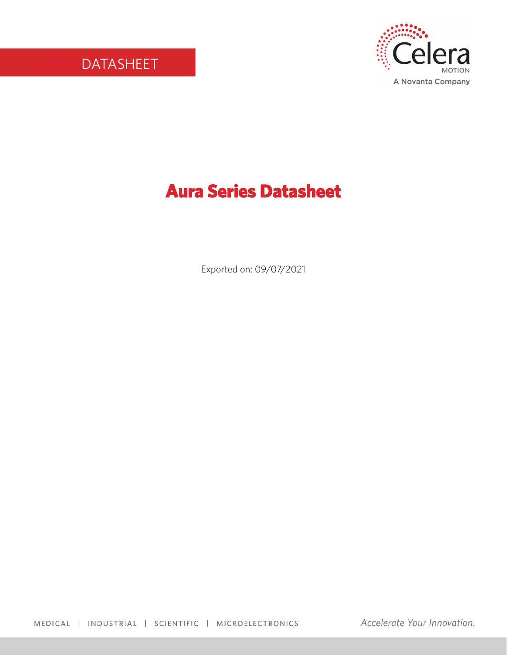

# **Aura Series Datasheet**

Exported on: 09/07/2021

MEDICAL | INDUSTRIAL | SCIENTIFIC | MICROELECTRONICS

Accelerate Your Innovation.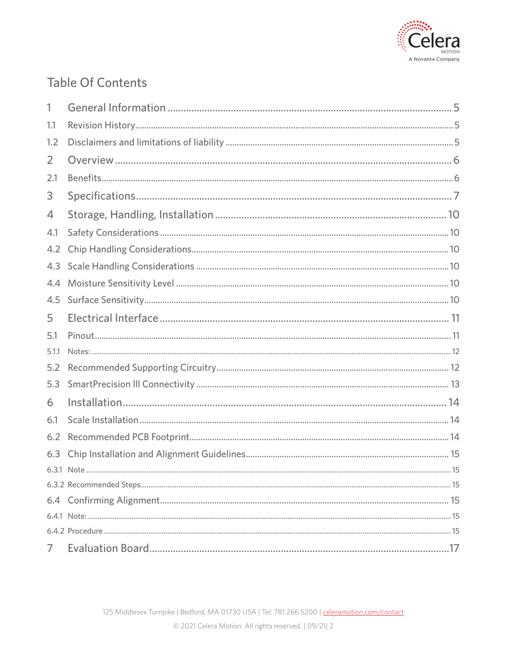

## **Table Of Contents**

| 1     |    |
|-------|----|
| 1.1   |    |
| 1.2   |    |
| 2     |    |
| 2.1   |    |
| 3     |    |
| 4     |    |
| 4.1   |    |
| 4.2   |    |
| 4.3   |    |
| 4.4   |    |
| 4.5   |    |
| 5     |    |
|       |    |
| 5.1   |    |
| 5.1.1 |    |
| 5.2   |    |
| 5.3   |    |
| 6     |    |
| 6.1   |    |
| 6.2   |    |
| 6.3   |    |
|       | 15 |
|       |    |
|       |    |
|       |    |
|       |    |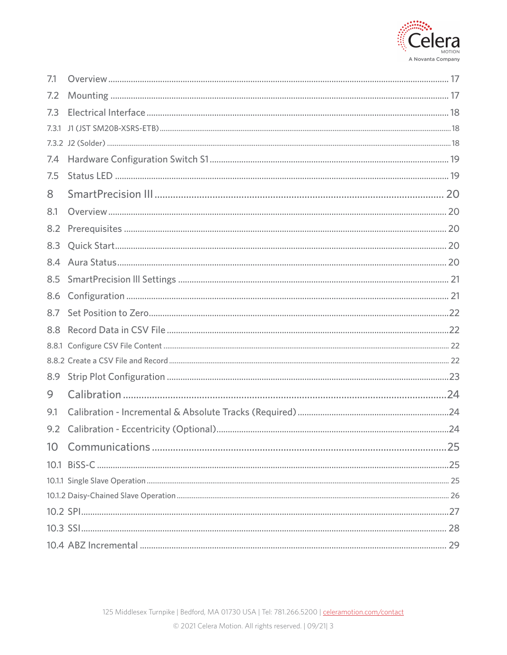

| 7.1             |  |
|-----------------|--|
| 7.2             |  |
| 7.3             |  |
| 7.3.1           |  |
|                 |  |
| 7.4             |  |
| 7.5             |  |
| 8               |  |
| 8.1             |  |
| 8.2             |  |
| 8.3             |  |
| 8.4             |  |
| 8.5             |  |
| 8.6             |  |
| 8.7             |  |
| 8.8             |  |
|                 |  |
|                 |  |
| 8.9             |  |
| 9               |  |
| 9.1             |  |
| 9.2             |  |
| 10 <sup>°</sup> |  |
|                 |  |
|                 |  |
|                 |  |
|                 |  |
|                 |  |
|                 |  |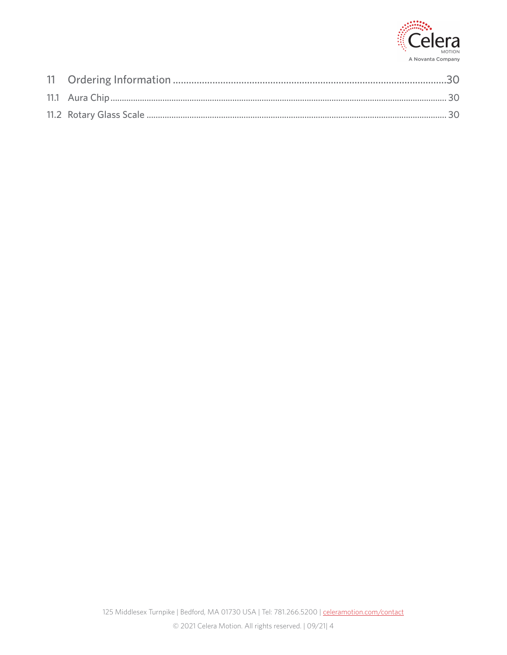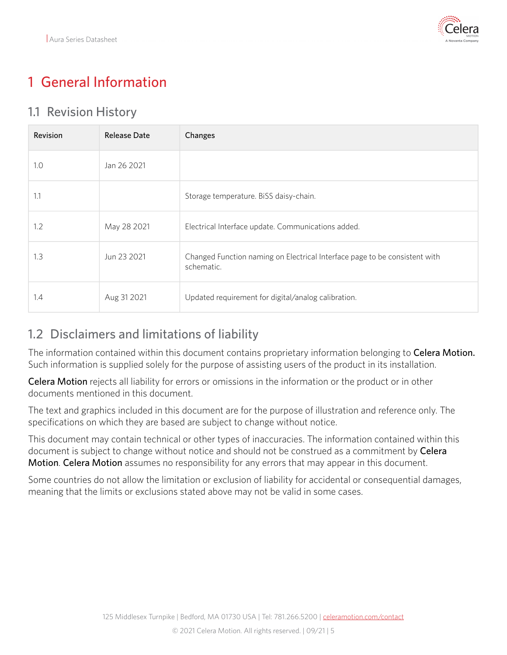

# <span id="page-4-0"></span>1 General Information

#### <span id="page-4-1"></span>1.1 Revision History

| Revision | <b>Release Date</b> | Changes                                                                                  |
|----------|---------------------|------------------------------------------------------------------------------------------|
| 1.0      | Jan 26 2021         |                                                                                          |
| 1.1      |                     | Storage temperature. BiSS daisy-chain.                                                   |
| 1.2      | May 28 2021         | Electrical Interface update. Communications added.                                       |
| 1.3      | Jun 23 2021         | Changed Function naming on Electrical Interface page to be consistent with<br>schematic. |
| 1.4      | Aug 31 2021         | Updated requirement for digital/analog calibration.                                      |

### <span id="page-4-2"></span>1.2 Disclaimers and limitations of liability

The information contained within this document contains proprietary information belonging to Celera Motion. Such information is supplied solely for the purpose of assisting users of the product in its installation.

Celera Motion rejects all liability for errors or omissions in the information or the product or in other documents mentioned in this document.

The text and graphics included in this document are for the purpose of illustration and reference only. The specifications on which they are based are subject to change without notice.

This document may contain technical or other types of inaccuracies. The information contained within this document is subject to change without notice and should not be construed as a commitment by Celera Motion. Celera Motion assumes no responsibility for any errors that may appear in this document.

Some countries do not allow the limitation or exclusion of liability for accidental or consequential damages, meaning that the limits or exclusions stated above may not be valid in some cases.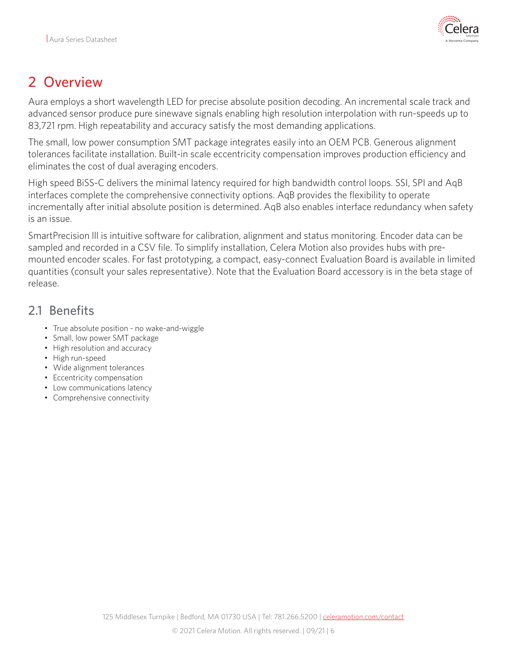

## <span id="page-5-0"></span>2 Overview

Aura employs a short wavelength LED for precise absolute position decoding. An incremental scale track and advanced sensor produce pure sinewave signals enabling high resolution interpolation with run-speeds up to 83,721 rpm. High repeatability and accuracy satisfy the most demanding applications.

The small, low power consumption SMT package integrates easily into an OEM PCB. Generous alignment tolerances facilitate installation. Built-in scale eccentricity compensation improves production efficiency and eliminates the cost of dual averaging encoders.

High speed BiSS-C delivers the minimal latency required for high bandwidth control loops. SSI, SPI and AqB interfaces complete the comprehensive connectivity options. AqB provides the flexibility to operate incrementally after initial absolute position is determined. AqB also enables interface redundancy when safety is an issue.

SmartPrecision lll is intuitive software for calibration, alignment and status monitoring. Encoder data can be sampled and recorded in a CSV file. To simplify installation, Celera Motion also provides hubs with premounted encoder scales. For fast prototyping, a compact, easy-connect Evaluation Board is available in limited quantities (consult your sales representative). Note that the Evaluation Board accessory is in the beta stage of release.

### <span id="page-5-1"></span>2.1 Benefits

- True absolute position no wake-and-wiggle
- Small, low power SMT package
- High resolution and accuracy
- High run-speed
- Wide alignment tolerances
- Eccentricity compensation
- Low communications latency
- Comprehensive connectivity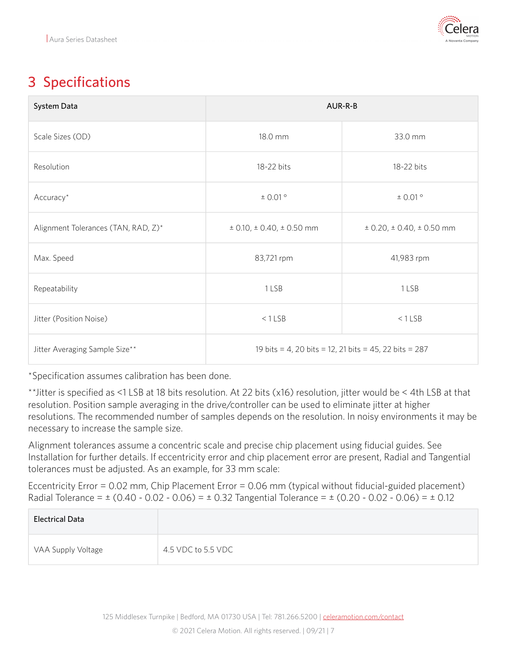

# <span id="page-6-0"></span>3 Specifications

| System Data                         | AUR-R-B                                                |                                       |  |
|-------------------------------------|--------------------------------------------------------|---------------------------------------|--|
| Scale Sizes (OD)                    | 18.0 mm                                                | 33.0 mm                               |  |
| Resolution                          | 18-22 bits                                             | 18-22 bits                            |  |
| Accuracy*                           | $\pm$ 0.01 $^{\circ}$                                  | ± 0.01°                               |  |
| Alignment Tolerances (TAN, RAD, Z)* | $\pm$ 0.10, $\pm$ 0.40, $\pm$ 0.50 mm                  | $\pm$ 0.20, $\pm$ 0.40, $\pm$ 0.50 mm |  |
| Max. Speed                          | 83,721 rpm                                             | 41,983 rpm                            |  |
| Repeatability                       | 1 LSB                                                  | 1LSB                                  |  |
| Jitter (Position Noise)             | $< 1$ LSB<br>$< 1$ LSB                                 |                                       |  |
| Jitter Averaging Sample Size**      | 19 bits = 4, 20 bits = 12, 21 bits = 45, 22 bits = 287 |                                       |  |

\*Specification assumes calibration has been done.

\*\*Jitter is specified as <1 LSB at 18 bits resolution. At 22 bits (x16) resolution, jitter would be < 4th LSB at that resolution. Position sample averaging in the drive/controller can be used to eliminate jitter at higher resolutions. The recommended number of samples depends on the resolution. In noisy environments it may be necessary to increase the sample size.

Alignment tolerances assume a concentric scale and precise chip placement using fiducial guides. See Installation for further details. If eccentricity error and chip placement error are present, Radial and Tangential tolerances must be adjusted. As an example, for 33 mm scale:

Eccentricity Error = 0.02 mm, Chip Placement Error = 0.06 mm (typical without fiducial-guided placement) Radial Tolerance =  $\pm$  (0.40 - 0.02 - 0.06) =  $\pm$  0.32 Tangential Tolerance =  $\pm$  (0.20 - 0.02 - 0.06) =  $\pm$  0.12

| <b>Electrical Data</b> |                    |
|------------------------|--------------------|
| VAA Supply Voltage     | 4.5 VDC to 5.5 VDC |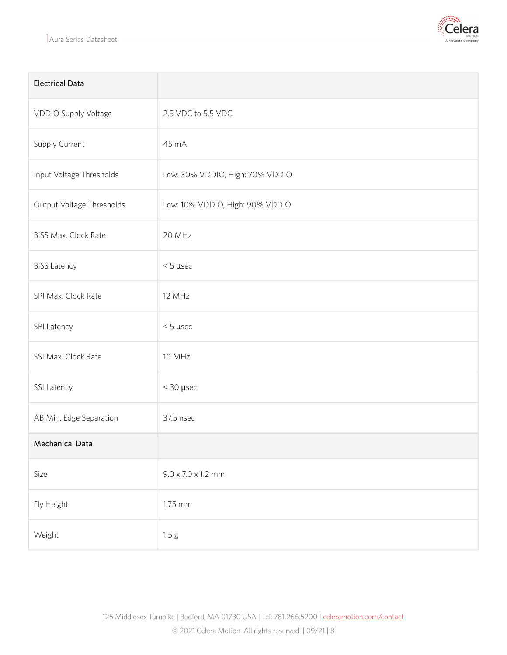

| <b>Electrical Data</b>      |                                 |
|-----------------------------|---------------------------------|
| VDDIO Supply Voltage        | 2.5 VDC to 5.5 VDC              |
| Supply Current              | 45 mA                           |
| Input Voltage Thresholds    | Low: 30% VDDIO, High: 70% VDDIO |
| Output Voltage Thresholds   | Low: 10% VDDIO, High: 90% VDDIO |
| <b>BiSS Max. Clock Rate</b> | 20 MHz                          |
| <b>BiSS Latency</b>         | $< 5 \mu$ sec                   |
| SPI Max. Clock Rate         | 12 MHz                          |
| SPI Latency                 | $< 5 \mu$ sec                   |
| SSI Max. Clock Rate         | 10 MHz                          |
| SSI Latency                 | $<$ 30 $\mu$ sec                |
| AB Min. Edge Separation     | 37.5 nsec                       |
| Mechanical Data             |                                 |
| Size                        | $9.0 \times 7.0 \times 1.2$ mm  |
| Fly Height                  | 1.75 mm                         |
| Weight                      | 1.5 g                           |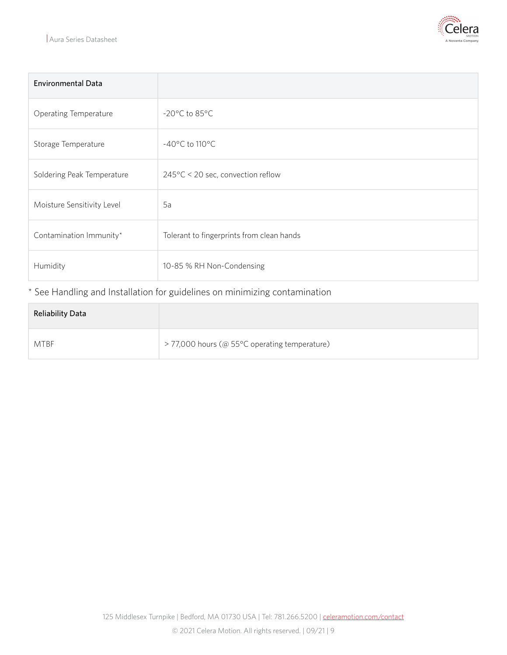

| <b>Environmental Data</b>  |                                           |  |
|----------------------------|-------------------------------------------|--|
| Operating Temperature      | $-20^{\circ}$ C to 85 $^{\circ}$ C        |  |
| Storage Temperature        | $-40^{\circ}$ C to 110 $^{\circ}$ C       |  |
| Soldering Peak Temperature | 245°C < 20 sec, convection reflow         |  |
| Moisture Sensitivity Level | 5a                                        |  |
| Contamination Immunity*    | Tolerant to fingerprints from clean hands |  |
| Humidity                   | 10-85 % RH Non-Condensing                 |  |

#### \* See Handling and Installation for guidelines on minimizing contamination

| <b>Reliability Data</b> |                                               |
|-------------------------|-----------------------------------------------|
| <b>MTBF</b>             | > 77,000 hours (@ 55°C operating temperature) |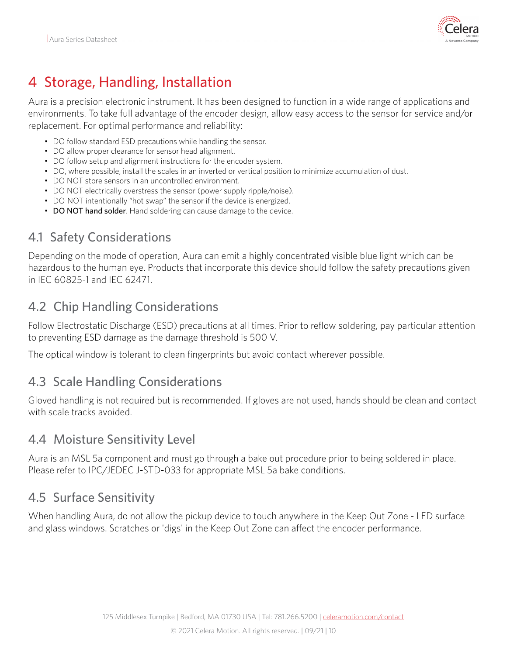

# <span id="page-9-0"></span>4 Storage, Handling, Installation

Aura is a precision electronic instrument. It has been designed to function in a wide range of applications and environments. To take full advantage of the encoder design, allow easy access to the sensor for service and/or replacement. For optimal performance and reliability:

- DO follow standard ESD precautions while handling the sensor.
- DO allow proper clearance for sensor head alignment.
- DO follow setup and alignment instructions for the encoder system.
- DO, where possible, install the scales in an inverted or vertical position to minimize accumulation of dust.
- DO NOT store sensors in an uncontrolled environment.
- DO NOT electrically overstress the sensor (power supply ripple/noise).
- DO NOT intentionally "hot swap" the sensor if the device is energized.
- DO NOT hand solder. Hand soldering can cause damage to the device.

### <span id="page-9-1"></span>4.1 Safety Considerations

Depending on the mode of operation, Aura can emit a highly concentrated visible blue light which can be hazardous to the human eye. Products that incorporate this device should follow the safety precautions given in IEC 60825-1 and IEC 62471.

#### <span id="page-9-2"></span>4.2 Chip Handling Considerations

Follow Electrostatic Discharge (ESD) precautions at all times. Prior to reflow soldering, pay particular attention to preventing ESD damage as the damage threshold is 500 V.

The optical window is tolerant to clean fingerprints but avoid contact wherever possible.

#### <span id="page-9-3"></span>4.3 Scale Handling Considerations

Gloved handling is not required but is recommended. If gloves are not used, hands should be clean and contact with scale tracks avoided.

#### <span id="page-9-4"></span>4.4 Moisture Sensitivity Level

Aura is an MSL 5a component and must go through a bake out procedure prior to being soldered in place. Please refer to IPC/JEDEC J-STD-033 for appropriate MSL 5a bake conditions.

#### <span id="page-9-5"></span>4.5 Surface Sensitivity

When handling Aura, do not allow the pickup device to touch anywhere in the Keep Out Zone - LED surface and glass windows. Scratches or 'digs' in the Keep Out Zone can affect the encoder performance.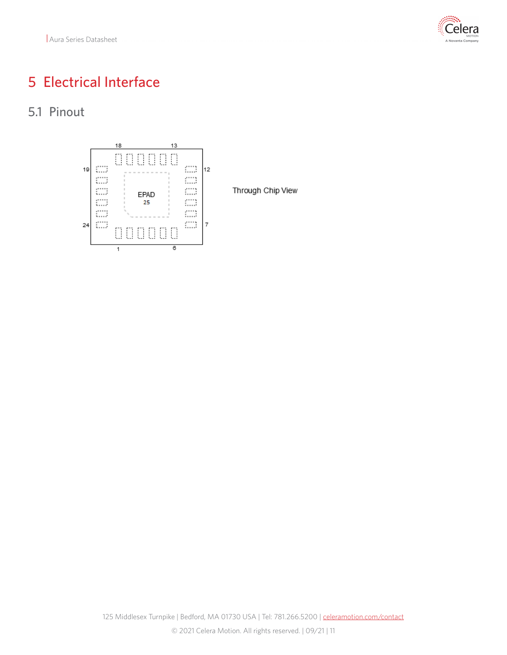Aura Series Datasheet



## <span id="page-10-0"></span>5 Electrical Interface

<span id="page-10-1"></span>5.1 Pinout



Through Chip View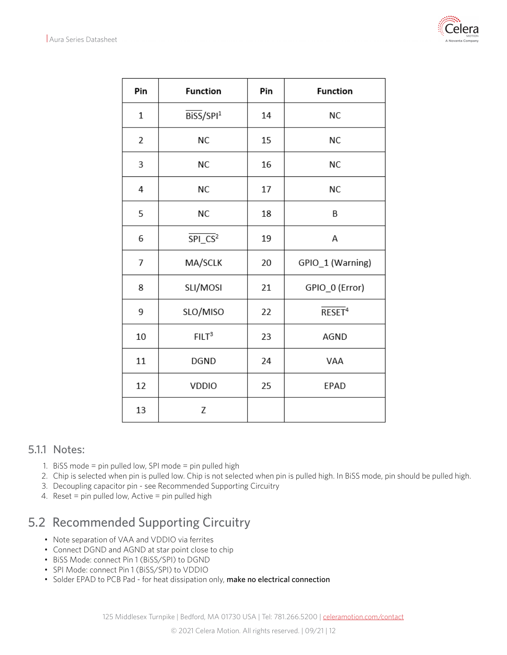

| Pin            | <b>Function</b>                     | Pin | <b>Function</b>               |
|----------------|-------------------------------------|-----|-------------------------------|
| $\mathbf{1}$   | $\overline{B}$ iSS/SPI <sup>1</sup> | 14  | <b>NC</b>                     |
| 2              | <b>NC</b>                           | 15  | <b>NC</b>                     |
| 3              | <b>NC</b>                           | 16  | NC                            |
| 4              | <b>NC</b>                           | 17  | <b>NC</b>                     |
| 5              | <b>NC</b>                           | 18  | B                             |
| 6              | $\overline{\text{SPLCS}}^2$         | 19  | А                             |
| $\overline{7}$ | MA/SCLK                             | 20  | GPIO_1 (Warning)              |
| 8              | SLI/MOSI                            | 21  | GPIO_0 (Error)                |
| 9              | SLO/MISO                            | 22  | $\overline{\mathsf{RESET}}^4$ |
| 10             | FILT <sup>3</sup>                   | 23  | AGND                          |
| 11             | DGND                                | 24  | VAA                           |
| 12             | VDDIO                               | 25  | EPAD                          |
| 13             | Z                                   |     |                               |

#### <span id="page-11-0"></span>5.1.1 Notes:

- 1. BiSS mode = pin pulled low, SPI mode = pin pulled high
- 2. Chip is selected when pin is pulled low. Chip is not selected when pin is pulled high. In BiSS mode, pin should be pulled high.
- 3. Decoupling capacitor pin see Recommended Supporting Circuitry
- 4. Reset = pin pulled low, Active = pin pulled high

### <span id="page-11-1"></span>5.2 Recommended Supporting Circuitry

- Note separation of VAA and VDDIO via ferrites
- Connect DGND and AGND at star point close to chip
- BiSS Mode: connect Pin 1 (BiSS/SPI) to DGND
- SPI Mode: connect Pin 1 (BiSS/SPI) to VDDIO
- Solder EPAD to PCB Pad for heat dissipation only, make no electrical connection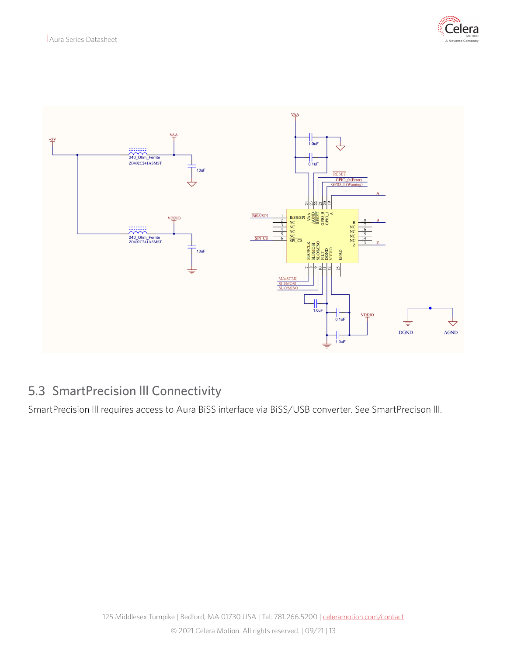



### <span id="page-12-0"></span>5.3 SmartPrecision lll Connectivity

SmartPrecision lll requires access to Aura BiSS interface via BiSS/USB converter. See SmartPrecison lll.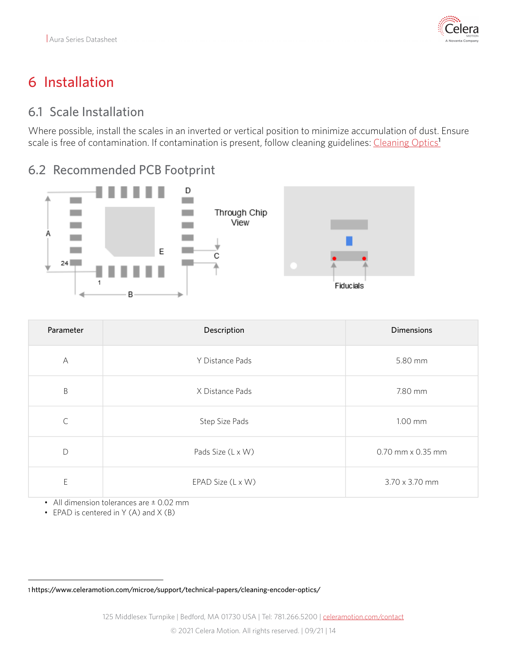

# <span id="page-13-0"></span>6 Installation

### <span id="page-13-1"></span>6.1 Scale Installation

Where possible, install the scales in an inverted or vertical position to minimize accumulation of dust. Ensure scale is free of contamination. If contamination is present, follow cleaning guidelines: [Cleaning Optics](https://www.celeramotion.com/microe/support/technical-papers/cleaning-encoder-optics/)<sup>1</sup>

### <span id="page-13-2"></span>6.2 Recommended PCB Footprint



| Parameter    | Description       | <b>Dimensions</b> |
|--------------|-------------------|-------------------|
| $\forall$    | Y Distance Pads   | 5.80 mm           |
| $\sf B$      | X Distance Pads   | 7.80 mm           |
| $\mathsf{C}$ | Step Size Pads    | 1.00 mm           |
| D            | Pads Size (L x W) | 0.70 mm x 0.35 mm |
| E            | EPAD Size (L x W) | 3.70 x 3.70 mm    |

• All dimension tolerances are ± 0.02 mm

• EPAD is centered in Y (A) and X (B)

<sup>1</sup> https://www.celeramotion.com/microe/support/technical-papers/cleaning-encoder-optics/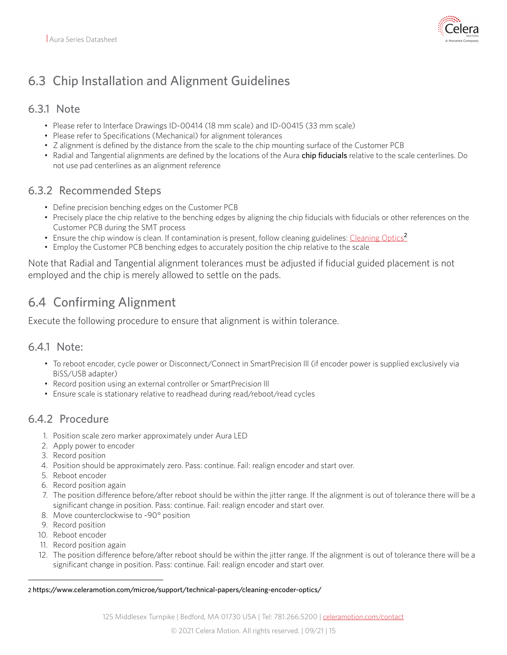

## <span id="page-14-0"></span>6.3 Chip Installation and Alignment Guidelines

#### <span id="page-14-1"></span>6.3.1 Note

- Please refer to Interface Drawings ID-00414 (18 mm scale) and ID-00415 (33 mm scale)
- Please refer to Specifications (Mechanical) for alignment tolerances
- Z alignment is defined by the distance from the scale to the chip mounting surface of the Customer PCB
- Radial and Tangential alignments are defined by the locations of the Aura chip fiducials relative to the scale centerlines. Do not use pad centerlines as an alignment reference

#### <span id="page-14-2"></span>6.3.2 Recommended Steps

- Define precision benching edges on the Customer PCB
- Precisely place the chip relative to the benching edges by aligning the chip fiducials with fiducials or other references on the Customer PCB during the SMT process
- Ensure the chip window is clean. If contamination is present, follow cleaning guidelines: [Cleaning Optics](https://www.celeramotion.com/microe/support/technical-papers/cleaning-encoder-optics/)<sup>2</sup>
- Employ the Customer PCB benching edges to accurately position the chip relative to the scale

Note that Radial and Tangential alignment tolerances must be adjusted if fiducial guided placement is not employed and the chip is merely allowed to settle on the pads.

### <span id="page-14-3"></span>6.4 Confirming Alignment

Execute the following procedure to ensure that alignment is within tolerance.

#### <span id="page-14-4"></span>6.4.1 Note:

- To reboot encoder, cycle power or Disconnect/Connect in SmartPrecision lll (if encoder power is supplied exclusively via BiSS/USB adapter)
- Record position using an external controller or SmartPrecision lll
- Ensure scale is stationary relative to readhead during read/reboot/read cycles

#### <span id="page-14-5"></span>6.4.2 Procedure

- 1. Position scale zero marker approximately under Aura LED
- 2. Apply power to encoder
- 3. Record position
- 4. Position should be approximately zero. Pass: continue. Fail: realign encoder and start over.
- 5. Reboot encoder
- 6. Record position again
- 7. The position difference before/after reboot should be within the jitter range. If the alignment is out of tolerance there will be a significant change in position. Pass: continue. Fail: realign encoder and start over.
- 8. Move counterclockwise to ~90° position
- 9. Record position
- 10. Reboot encoder
- 11. Record position again
- 12. The position difference before/after reboot should be within the jitter range. If the alignment is out of tolerance there will be a significant change in position. Pass: continue. Fail: realign encoder and start over.

<sup>2</sup> https://www.celeramotion.com/microe/support/technical-papers/cleaning-encoder-optics/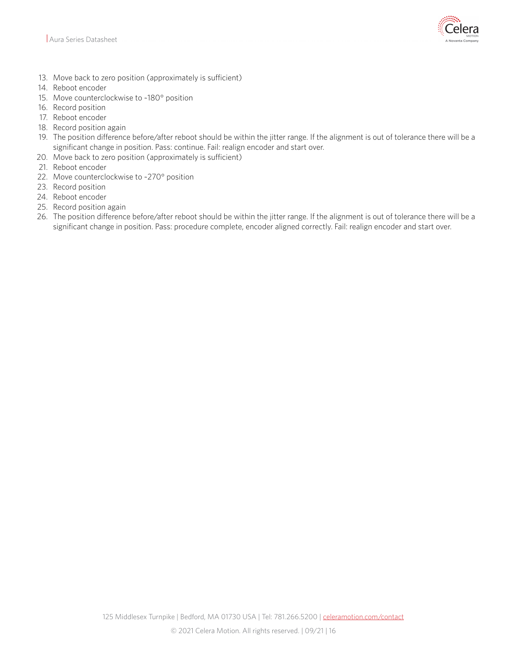

- 13. Move back to zero position (approximately is sufficient)
- 14. Reboot encoder
- 15. Move counterclockwise to ~180° position
- 16. Record position
- 17. Reboot encoder
- 18. Record position again
- 19. The position difference before/after reboot should be within the jitter range. If the alignment is out of tolerance there will be a significant change in position. Pass: continue. Fail: realign encoder and start over.
- 20. Move back to zero position (approximately is sufficient)
- 21. Reboot encoder
- 22. Move counterclockwise to ~270° position
- 23. Record position
- 24. Reboot encoder
- 25. Record position again
- 26. The position difference before/after reboot should be within the jitter range. If the alignment is out of tolerance there will be a significant change in position. Pass: procedure complete, encoder aligned correctly. Fail: realign encoder and start over.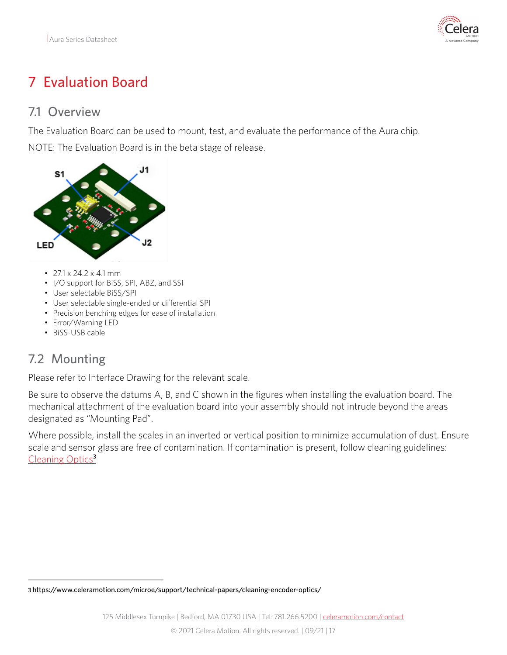

# <span id="page-16-0"></span>7 Evaluation Board

#### <span id="page-16-1"></span>7.1 Overview

The Evaluation Board can be used to mount, test, and evaluate the performance of the Aura chip.

NOTE: The Evaluation Board is in the beta stage of release.



- $\cdot$  27.1 x 24.2 x 4.1 mm
- I/O support for BiSS, SPI, ABZ, and SSI
- User selectable BiSS/SPI
- User selectable single-ended or differential SPI
- Precision benching edges for ease of installation
- Error/Warning LED
- BiSS-USB cable

### <span id="page-16-2"></span>7.2 Mounting

Please refer to Interface Drawing for the relevant scale.

Be sure to observe the datums A, B, and C shown in the figures when installing the evaluation board. The mechanical attachment of the evaluation board into your assembly should not intrude beyond the areas designated as "Mounting Pad".

Where possible, install the scales in an inverted or vertical position to minimize accumulation of dust. Ensure scale and sensor glass are free of contamination. If contamination is present, follow cleaning guidelines: [Cleaning Optics](https://www.celeramotion.com/microe/support/technical-papers/cleaning-encoder-optics/)<sup>3</sup>

<sup>3</sup> https://www.celeramotion.com/microe/support/technical-papers/cleaning-encoder-optics/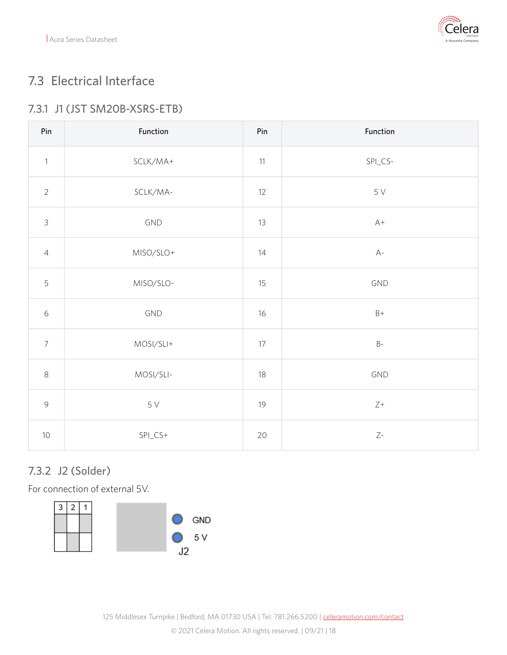

## <span id="page-17-0"></span>7.3 Electrical Interface

#### <span id="page-17-1"></span>7.3.1 J1 (JST SM20B-XSRS-ETB)

| Pin            | Function        | Pin    | Function        |
|----------------|-----------------|--------|-----------------|
| $\mathbf{1}$   | SCLK/MA+        | 11     | $SPI_CS-$       |
| $\overline{2}$ | SCLK/MA-        | 12     | $5\,\mathrm{V}$ |
| $\mathfrak{Z}$ | GND             | 13     | $A+$            |
| $\overline{4}$ | MISO/SLO+       | 14     | $A-$            |
| 5              | MISO/SLO-       | 15     | GND             |
| $\epsilon$     | GND             | 16     | $B+$            |
| $\overline{7}$ | MOSI/SLI+       | $17\,$ | $\mathsf B$ -   |
| $\,8\,$        | MOSI/SLI-       | 18     | GND             |
| $\mathcal{G}$  | $5\,\mathrm{V}$ | 19     | $\mathsf{Z}+$   |
| $10\,$         | $SPLCS+$        | 20     | $Z\text{-}$     |

#### <span id="page-17-2"></span>7.3.2 J2 (Solder)

For connection of external 5V.

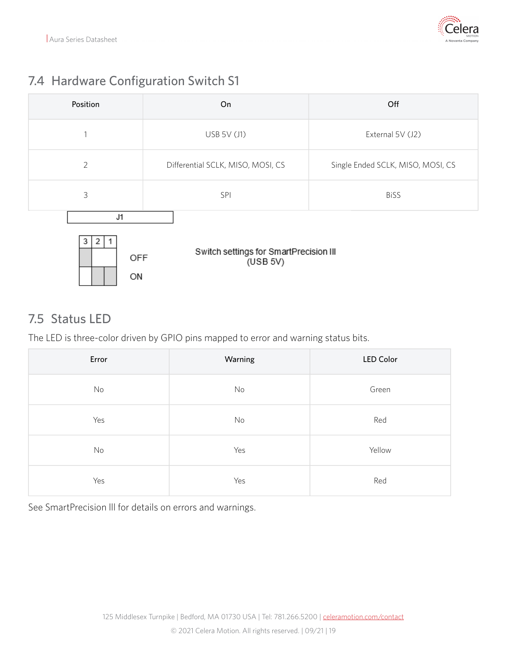

## <span id="page-18-0"></span>7.4 Hardware Configuration Switch S1

| Position                  | On                                                 | Off                               |  |
|---------------------------|----------------------------------------------------|-----------------------------------|--|
| 1                         | USB 5V (J1)                                        | External 5V (J2)                  |  |
| $\overline{2}$            | Differential SCLK, MISO, MOSI, CS                  | Single Ended SCLK, MISO, MOSI, CS |  |
| 3                         | SPI                                                | <b>BiSS</b>                       |  |
| J1<br>3<br>2<br>OFF<br>ON | Switch settings for SmartPrecision III<br>(USB 5V) |                                   |  |

### <span id="page-18-1"></span>7.5 Status LED

The LED is three-color driven by GPIO pins mapped to error and warning status bits.

| Error | Warning | <b>LED Color</b> |
|-------|---------|------------------|
| No    | No      | Green            |
| Yes   | No      | Red              |
| No    | Yes     | Yellow           |
| Yes   | Yes     | Red              |

See SmartPrecision lll for details on errors and warnings.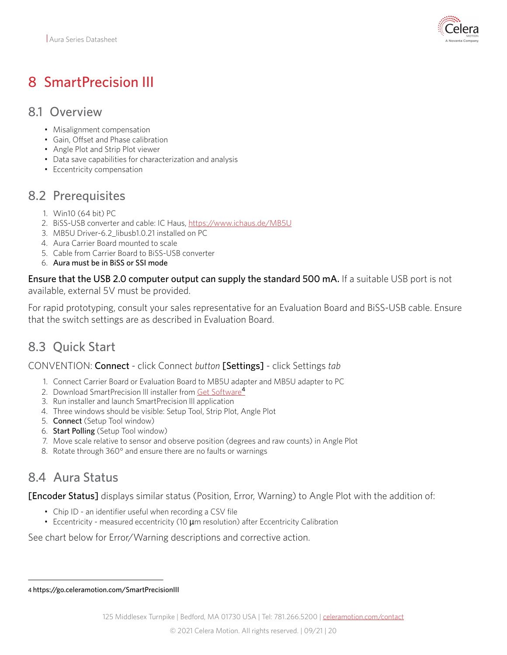

# <span id="page-19-0"></span>8 SmartPrecision III

#### <span id="page-19-1"></span>8.1 Overview

- Misalignment compensation
- Gain, Offset and Phase calibration
- Angle Plot and Strip Plot viewer
- Data save capabilities for characterization and analysis
- Eccentricity compensation

#### <span id="page-19-2"></span>8.2 Prerequisites

- 1. Win10 (64 bit) PC
- 2. BiSS-USB converter and cable: IC Haus, <https://www.ichaus.de/MB5U>
- 3. MB5U Driver-6.2\_libusb1.0.21 installed on PC
- 4. Aura Carrier Board mounted to scale
- 5. Cable from Carrier Board to BiSS-USB converter
- 6. Aura must be in BiSS or SSI mode

Ensure that the USB 2.0 computer output can supply the standard 500 mA. If a suitable USB port is not available, external 5V must be provided.

For rapid prototyping, consult your sales representative for an Evaluation Board and BiSS-USB cable. Ensure that the switch settings are as described in Evaluation Board.

## <span id="page-19-3"></span>8.3 Quick Start

#### CONVENTION: Connect - click Connect *button* [Settings] - click Settings *tab*

- 1. Connect Carrier Board or Evaluation Board to MB5U adapter and MB5U adapter to PC
- 2. Download SmartPrecision III installer from [Get Software](https://go.celeramotion.com/SmartPrecisionIII)<sup>4</sup>
- 3. Run installer and launch SmartPrecision lll application
- 4. Three windows should be visible: Setup Tool, Strip Plot, Angle Plot
- 5. **Connect** (Setup Tool window)
- 6. Start Polling (Setup Tool window)
- 7. Move scale relative to sensor and observe position (degrees and raw counts) in Angle Plot
- 8. Rotate through 360° and ensure there are no faults or warnings

### <span id="page-19-4"></span>8.4 Aura Status

[Encoder Status] displays similar status (Position, Error, Warning) to Angle Plot with the addition of:

- Chip ID an identifier useful when recording a CSV file
- Eccentricity measured eccentricity (10  $\mu$ m resolution) after Eccentricity Calibration

See chart below for Error/Warning descriptions and corrective action.

<sup>4</sup> https://go.celeramotion.com/SmartPrecisionIII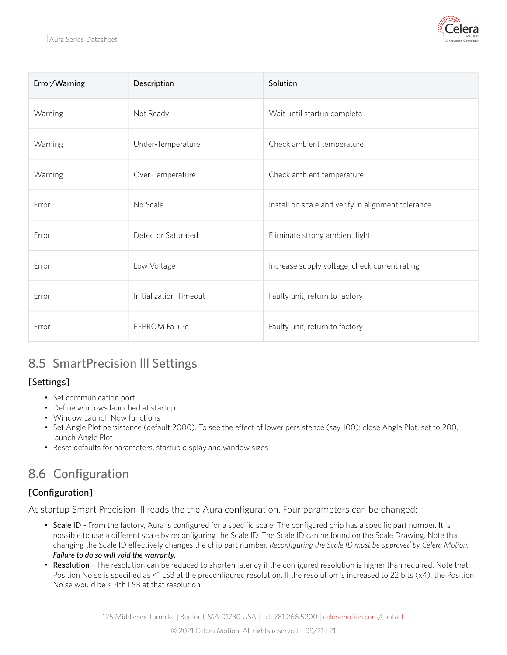

| Error/Warning | Description            | Solution                                           |
|---------------|------------------------|----------------------------------------------------|
| Warning       | Not Ready              | Wait until startup complete                        |
| Warning       | Under-Temperature      | Check ambient temperature                          |
| Warning       | Over-Temperature       | Check ambient temperature                          |
| Error         | No Scale               | Install on scale and verify in alignment tolerance |
| Error         | Detector Saturated     | Eliminate strong ambient light                     |
| Error         | Low Voltage            | Increase supply voltage, check current rating      |
| Error         | Initialization Timeout | Faulty unit, return to factory                     |
| Error         | <b>EEPROM Failure</b>  | Faulty unit, return to factory                     |

## <span id="page-20-0"></span>8.5 SmartPrecision lll Settings

#### [Settings]

- Set communication port
- Define windows launched at startup
- Window Launch Now functions
- Set Angle Plot persistence (default 2000). To see the effect of lower persistence (say 100): close Angle Plot, set to 200, launch Angle Plot
- Reset defaults for parameters, startup display and window sizes

## <span id="page-20-1"></span>8.6 Configuration

#### [Configuration]

At startup Smart Precision lll reads the the Aura configuration. Four parameters can be changed:

- Scale ID From the factory, Aura is configured for a specific scale. The configured chip has a specific part number. It is possible to use a different scale by reconfiguring the Scale ID. The Scale ID can be found on the Scale Drawing. Note that changing the Scale ID effectively changes the chip part number. *Reconfiguring the Scale ID must be approved by Celera Motion. Failure to do so will void the warranty.*
- Resolution The resolution can be reduced to shorten latency if the configured resolution is higher than required. Note that Position Noise is specified as <1 LSB at the preconfigured resolution. If the resolution is increased to 22 bits (x4), the Position Noise would be < 4th LSB at that resolution.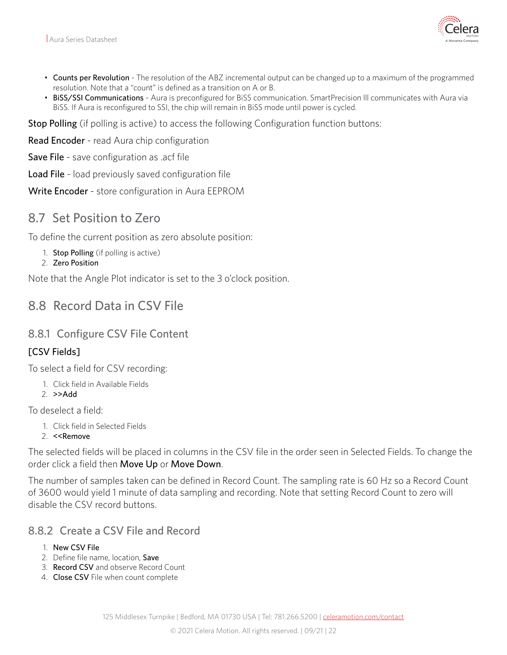

- Counts per Revolution The resolution of the ABZ incremental output can be changed up to a maximum of the programmed resolution. Note that a "count" is defined as a transition on A or B.
- BiSS/SSI Communications Aura is preconfigured for BiSS communication. SmartPrecision III communicates with Aura via BiSS. If Aura is reconfigured to SSI, the chip will remain in BiSS mode until power is cycled.

Stop Polling (if polling is active) to access the following Configuration function buttons:

Read Encoder - read Aura chip configuration

Save File - save configuration as .acf file

Load File - load previously saved configuration file

Write Encoder - store configuration in Aura EEPROM

#### <span id="page-21-0"></span>8.7 Set Position to Zero

To define the current position as zero absolute position:

- 1. Stop Polling (if polling is active)
- 2. Zero Position

Note that the Angle Plot indicator is set to the 3 o'clock position.

#### <span id="page-21-1"></span>8.8 Record Data in CSV File

#### <span id="page-21-2"></span>8.8.1 Configure CSV File Content

#### [CSV Fields]

To select a field for CSV recording:

- 1. Click field in Available Fields
- 2. >>Add

To deselect a field:

- 1. Click field in Selected Fields
- 2. <<Remove

The selected fields will be placed in columns in the CSV file in the order seen in Selected Fields. To change the order click a field then Move Up or Move Down.

The number of samples taken can be defined in Record Count. The sampling rate is 60 Hz so a Record Count of 3600 would yield 1 minute of data sampling and recording. Note that setting Record Count to zero will disable the CSV record buttons.

#### <span id="page-21-3"></span>8.8.2 Create a CSV File and Record

- 1. New CSV File
- 2. Define file name, location, Save
- 3. Record CSV and observe Record Count
- 4. Close CSV File when count complete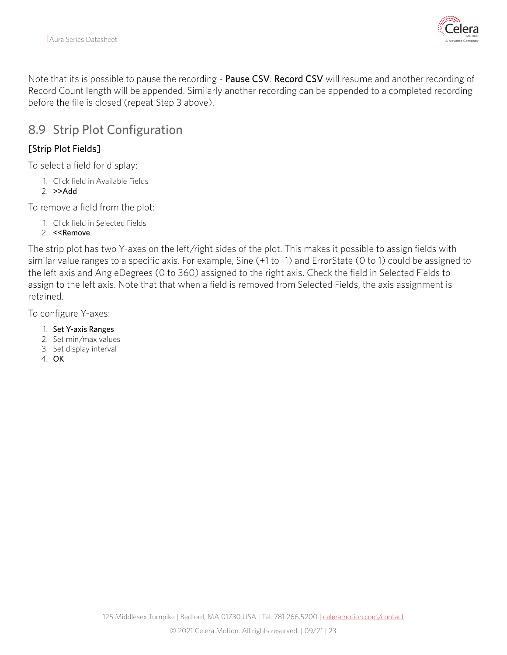

Note that its is possible to pause the recording - Pause CSV. Record CSV will resume and another recording of Record Count length will be appended. Similarly another recording can be appended to a completed recording before the file is closed (repeat Step 3 above).

#### <span id="page-22-0"></span>8.9 Strip Plot Configuration

#### [Strip Plot Fields]

To select a field for display:

- 1. Click field in Available Fields
- 2. >>Add

To remove a field from the plot:

- 1. Click field in Selected Fields
- 2. <<Remove

The strip plot has two Y-axes on the left/right sides of the plot. This makes it possible to assign fields with similar value ranges to a specific axis. For example, Sine (+1 to -1) and ErrorState (0 to 1) could be assigned to the left axis and AngleDegrees (0 to 360) assigned to the right axis. Check the field in Selected Fields to assign to the left axis. Note that that when a field is removed from Selected Fields, the axis assignment is retained.

To configure Y-axes:

- 1. Set Y-axis Ranges
- 2. Set min/max values
- 3. Set display interval
- 4. OK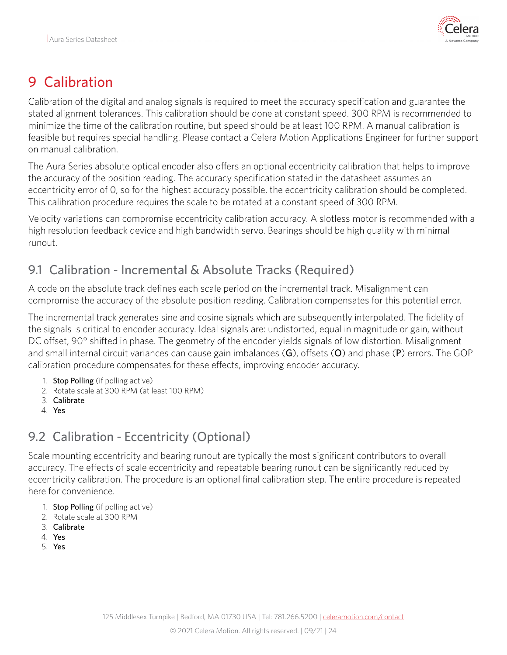

# <span id="page-23-0"></span>9 Calibration

Calibration of the digital and analog signals is required to meet the accuracy specification and guarantee the stated alignment tolerances. This calibration should be done at constant speed. 300 RPM is recommended to minimize the time of the calibration routine, but speed should be at least 100 RPM. A manual calibration is feasible but requires special handling. Please contact a Celera Motion Applications Engineer for further support on manual calibration.

The Aura Series absolute optical encoder also offers an optional eccentricity calibration that helps to improve the accuracy of the position reading. The accuracy specification stated in the datasheet assumes an eccentricity error of 0, so for the highest accuracy possible, the eccentricity calibration should be completed. This calibration procedure requires the scale to be rotated at a constant speed of 300 RPM.

Velocity variations can compromise eccentricity calibration accuracy. A slotless motor is recommended with a high resolution feedback device and high bandwidth servo. Bearings should be high quality with minimal runout.

## <span id="page-23-1"></span>9.1 Calibration - Incremental & Absolute Tracks (Required)

A code on the absolute track defines each scale period on the incremental track. Misalignment can compromise the accuracy of the absolute position reading. Calibration compensates for this potential error.

The incremental track generates sine and cosine signals which are subsequently interpolated. The fidelity of the signals is critical to encoder accuracy. Ideal signals are: undistorted, equal in magnitude or gain, without DC offset, 90° shifted in phase. The geometry of the encoder yields signals of low distortion. Misalignment and small internal circuit variances can cause gain imbalances  $(G)$ , offsets  $(O)$  and phase  $(P)$  errors. The GOP calibration procedure compensates for these effects, improving encoder accuracy.

- 1. Stop Polling (if polling active)
- 2. Rotate scale at 300 RPM (at least 100 RPM)
- 3. Calibrate
- 4. Yes

## <span id="page-23-2"></span>9.2 Calibration - Eccentricity (Optional)

Scale mounting eccentricity and bearing runout are typically the most significant contributors to overall accuracy. The effects of scale eccentricity and repeatable bearing runout can be significantly reduced by eccentricity calibration. The procedure is an optional final calibration step. The entire procedure is repeated here for convenience.

- 1. Stop Polling (if polling active)
- 2. Rotate scale at 300 RPM
- 3. Calibrate
- 4. Yes
- 5. Yes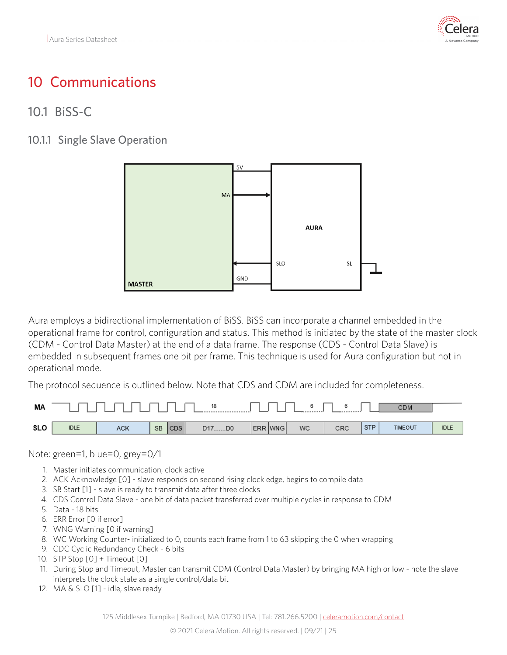

## <span id="page-24-0"></span>10 Communications

#### <span id="page-24-1"></span>10.1 BiSS-C

<span id="page-24-2"></span>10.1.1 Single Slave Operation



Aura employs a bidirectional implementation of BiSS. BiSS can incorporate a channel embedded in the operational frame for control, configuration and status. This method is initiated by the state of the master clock (CDM - Control Data Master) at the end of a data frame. The response (CDS - Control Data Slave) is embedded in subsequent frames one bit per frame. This technique is used for Aura configuration but not in operational mode.

The protocol sequence is outlined below. Note that CDS and CDM are included for completeness.



Note: green=1, blue=0, grey=0/1

- 1. Master initiates communication, clock active
- 2. ACK Acknowledge [0] slave responds on second rising clock edge, begins to compile data
- 3. SB Start [1] slave is ready to transmit data after three clocks
- 4. CDS Control Data Slave one bit of data packet transferred over multiple cycles in response to CDM
- 5. Data 18 bits
- 6. ERR Error [0 if error]
- 7. WNG Warning [0 if warning]
- 8. WC Working Counter- initialized to 0, counts each frame from 1 to 63 skipping the 0 when wrapping
- 9. CDC Cyclic Redundancy Check 6 bits
- 10. STP Stop [0] + Timeout [0]
- 11. During Stop and Timeout, Master can transmit CDM (Control Data Master) by bringing MA high or low note the slave interprets the clock state as a single control/data bit
- 12. MA & SLO [1] idle, slave ready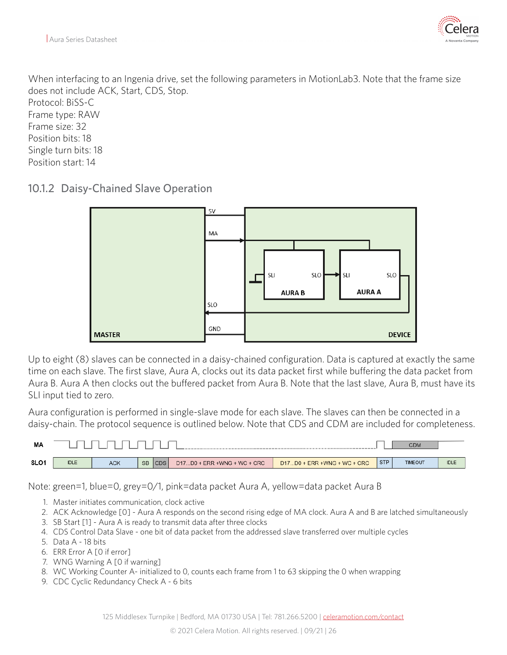

When interfacing to an Ingenia drive, set the following parameters in MotionLab3. Note that the frame size does not include ACK, Start, CDS, Stop. Protocol: BiSS-C Frame type: RAW Frame size: 32 Position bits: 18 Single turn bits: 18 Position start: 14

<span id="page-25-0"></span>10.1.2 Daisy-Chained Slave Operation



Up to eight (8) slaves can be connected in a daisy-chained configuration. Data is captured at exactly the same time on each slave. The first slave, Aura A, clocks out its data packet first while buffering the data packet from Aura B. Aura A then clocks out the buffered packet from Aura B. Note that the last slave, Aura B, must have its SLI input tied to zero.

Aura configuration is performed in single-slave mode for each slave. The slaves can then be connected in a daisy-chain. The protocol sequence is outlined below. Note that CDS and CDM are included for completeness.



Note: green=1, blue=0, grey=0/1, pink=data packet Aura A, yellow=data packet Aura B

- 1. Master initiates communication, clock active
- 2. ACK Acknowledge [0] Aura A responds on the second rising edge of MA clock. Aura A and B are latched simultaneously
- 3. SB Start [1] Aura A is ready to transmit data after three clocks
- 4. CDS Control Data Slave one bit of data packet from the addressed slave transferred over multiple cycles
- 5. Data A 18 bits
- 6. ERR Error A [0 if error]
- 7. WNG Warning A [0 if warning]
- 8. WC Working Counter A- initialized to 0, counts each frame from 1 to 63 skipping the 0 when wrapping
- 9. CDC Cyclic Redundancy Check A 6 bits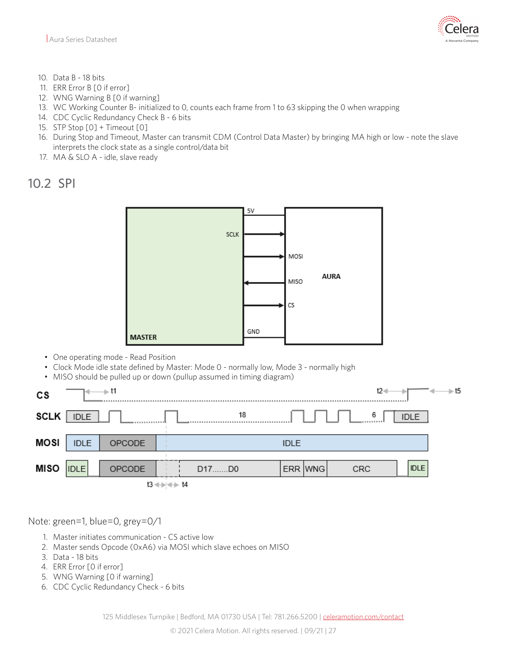- 10. Data B 18 bits
- 11. ERR Error B [0 if error]
- 12. WNG Warning B [0 if warning]
- 13. WC Working Counter B- initialized to 0, counts each frame from 1 to 63 skipping the 0 when wrapping
- 14. CDC Cyclic Redundancy Check B 6 bits
- 15. STP Stop [0] + Timeout [0]
- 16. During Stop and Timeout, Master can transmit CDM (Control Data Master) by bringing MA high or low note the slave interprets the clock state as a single control/data bit
- 17. MA & SLO A idle, slave ready

<span id="page-26-0"></span>10.2 SPI



- One operating mode Read Position
- Clock Mode idle state defined by Master: Mode 0 normally low, Mode 3 normally high
- MISO should be pulled up or down (pullup assumed in timing diagram)

| СS          |             | —≽t1   |                        |       |             | $t2-$ |             | — t5 |
|-------------|-------------|--------|------------------------|-------|-------------|-------|-------------|------|
| <b>SCLK</b> | <b>IDLE</b> |        |                        | 18    |             | 6     | <b>IDLE</b> |      |
| MOSI        | <b>IDLE</b> | OPCODE |                        |       | <b>IDLE</b> |       |             |      |
| MISO        | <b>IDLE</b> | OPCODE |                        | D17D0 | ERR WNG     | CRC   | <b>IDLE</b> |      |
|             |             |        | $13 \leftrightarrow +$ |       |             |       |             |      |

Note: green=1, blue=0, grey=0/1

- 1. Master initiates communication CS active low
- 2. Master sends Opcode (0xA6) via MOSI which slave echoes on MISO
- 3. Data 18 bits
- 4. ERR Error [0 if error]
- 5. WNG Warning [0 if warning]
- 6. CDC Cyclic Redundancy Check 6 bits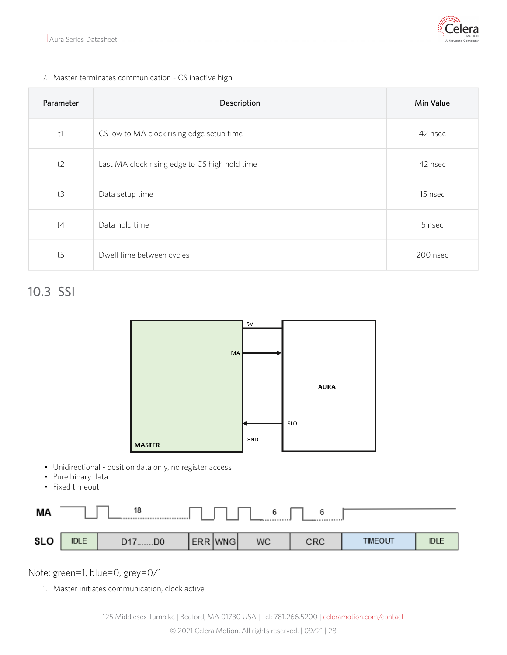

#### 7. Master terminates communication - CS inactive high

| Parameter | Description                                    | Min Value |
|-----------|------------------------------------------------|-----------|
| t1        | CS low to MA clock rising edge setup time      | 42 nsec   |
| t2        | Last MA clock rising edge to CS high hold time | 42 nsec   |
| t3        | Data setup time                                | 15 nsec   |
| t4        | Data hold time                                 | 5 nsec    |
| t5        | Dwell time between cycles                      | 200 nsec  |

### <span id="page-27-0"></span>10.3 SSI



- Unidirectional position data only, no register access
- Pure binary data
- Fixed timeout

| МA         |             | 18          |         | .         | а   |                |             |
|------------|-------------|-------------|---------|-----------|-----|----------------|-------------|
| <b>SLO</b> | <b>IDLE</b> | D17.<br>.DO | ERR WNG | <b>WC</b> | CRC | <b>TIMEOUT</b> | <b>IDLE</b> |

Note: green=1, blue=0, grey=0/1

1. Master initiates communication, clock active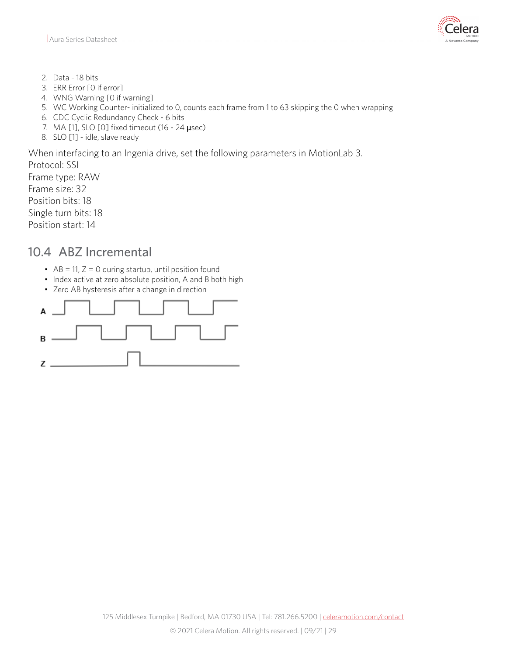

- 2. Data 18 bits
- 3. ERR Error [0 if error]
- 4. WNG Warning [0 if warning]
- 5. WC Working Counter- initialized to 0, counts each frame from 1 to 63 skipping the 0 when wrapping
- 6. CDC Cyclic Redundancy Check 6 bits
- 7. MA [1], SLO [0] fixed timeout (16 24 µsec)
- 8. SLO [1] idle, slave ready

When interfacing to an Ingenia drive, set the following parameters in MotionLab 3.

Protocol: SSI Frame type: RAW Frame size: 32 Position bits: 18 Single turn bits: 18 Position start: 14

#### <span id="page-28-0"></span>10.4 ABZ Incremental

- $\bullet$  AB = 11, Z = 0 during startup, until position found
- Index active at zero absolute position, A and B both high
- Zero AB hysteresis after a change in direction